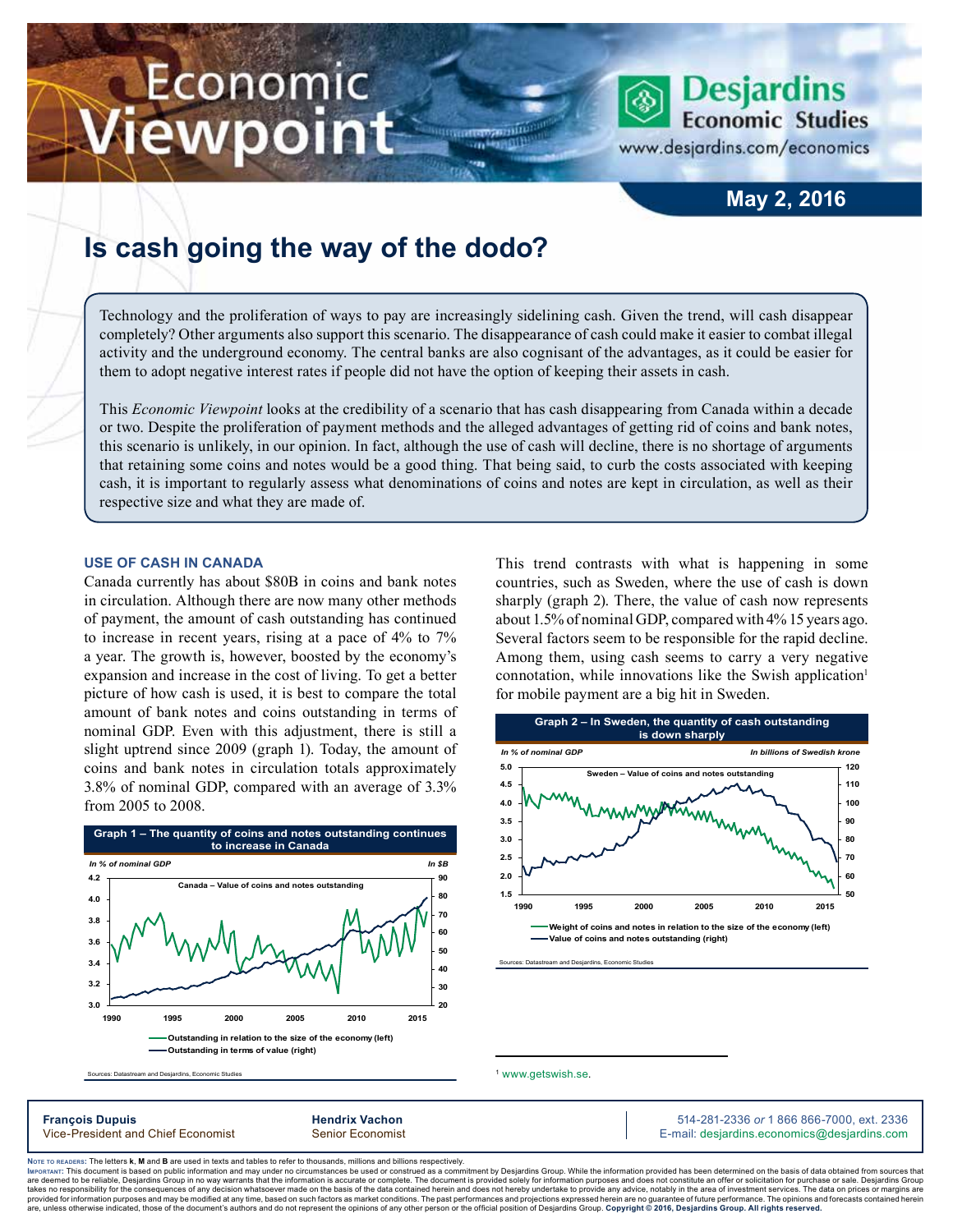# Economic **Iewpoint**

### **May 2, 2016**

**Desjardins** 

www.desjardins.com/economics

**Economic Studies** 

## **Is cash going the way of the dodo?**

Technology and the proliferation of ways to pay are increasingly sidelining cash. Given the trend, will cash disappear completely? Other arguments also support this scenario. The disappearance of cash could make it easier to combat illegal activity and the underground economy. The central banks are also cognisant of the advantages, as it could be easier for them to adopt negative interest rates if people did not have the option of keeping their assets in cash.

m

This *Economic Viewpoint* looks at the credibility of a scenario that has cash disappearing from Canada within a decade or two. Despite the proliferation of payment methods and the alleged advantages of getting rid of coins and bank notes, this scenario is unlikely, in our opinion. In fact, although the use of cash will decline, there is no shortage of arguments that retaining some coins and notes would be a good thing. That being said, to curb the costs associated with keeping cash, it is important to regularly assess what denominations of coins and notes are kept in circulation, as well as their respective size and what they are made of.

#### **Use of cash in Canada**

Canada currently has about \$80B in coins and bank notes in circulation. Although there are now many other methods of payment, the amount of cash outstanding has continued to increase in recent years, rising at a pace of 4% to 7% a year. The growth is, however, boosted by the economy's expansion and increase in the cost of living. To get a better picture of how cash is used, it is best to compare the total amount of bank notes and coins outstanding in terms of nominal GDP. Even with this adjustment, there is still a slight uptrend since 2009 (graph 1). Today, the amount of coins and bank notes in circulation totals approximately 3.8% of nominal GDP, compared with an average of 3.3% from 2005 to 2008.



Sources: Datastream and Desjardins, Economic Studies

This trend contrasts with what is happening in some countries, such as Sweden, where the use of cash is down sharply (graph 2). There, the value of cash now represents about 1.5% of nominal GDP, compared with 4% 15 years ago. Several factors seem to be responsible for the rapid decline. Among them, using cash seems to carry a very negative connotation, while innovations like the Swish application<sup>1</sup> for mobile payment are a big hit in Sweden.



<sup>1</sup> [www.getswish.se](http://www.getswish.se).

**François Dupuis Hendrix Vachon** 514-281-2336 *or* 1 866 866-7000, ext. 2336 Vice-President and Chief Economist Senior Economist Senior Economist E-mail: desjardins.economics@desjardins.com

Noте то келоекs: The letters **k, M** and **B** are used in texts and tables to refer to thousands, millions and billions respectively.<br>Імроктлит: This document is based on public information and may under no circumstances be are deemed to be reliable. Desiardins Group in no way warrants that the information is accurate or complete. The document is provided solely for information purposes and does not constitute an offer or solicitation for pur takes no responsibility for the consequences of any decision whatsoever made on the basis of the data contained herein and does not hereby undertake to provide any advice, notably in the area of investment services. The da .<br>are, unless otherwise indicated, those of the document's authors and do not represent the opinions of any other person or the official position of Desjardins Group. Copyright © 2016, Desjardins Group. All rights reserve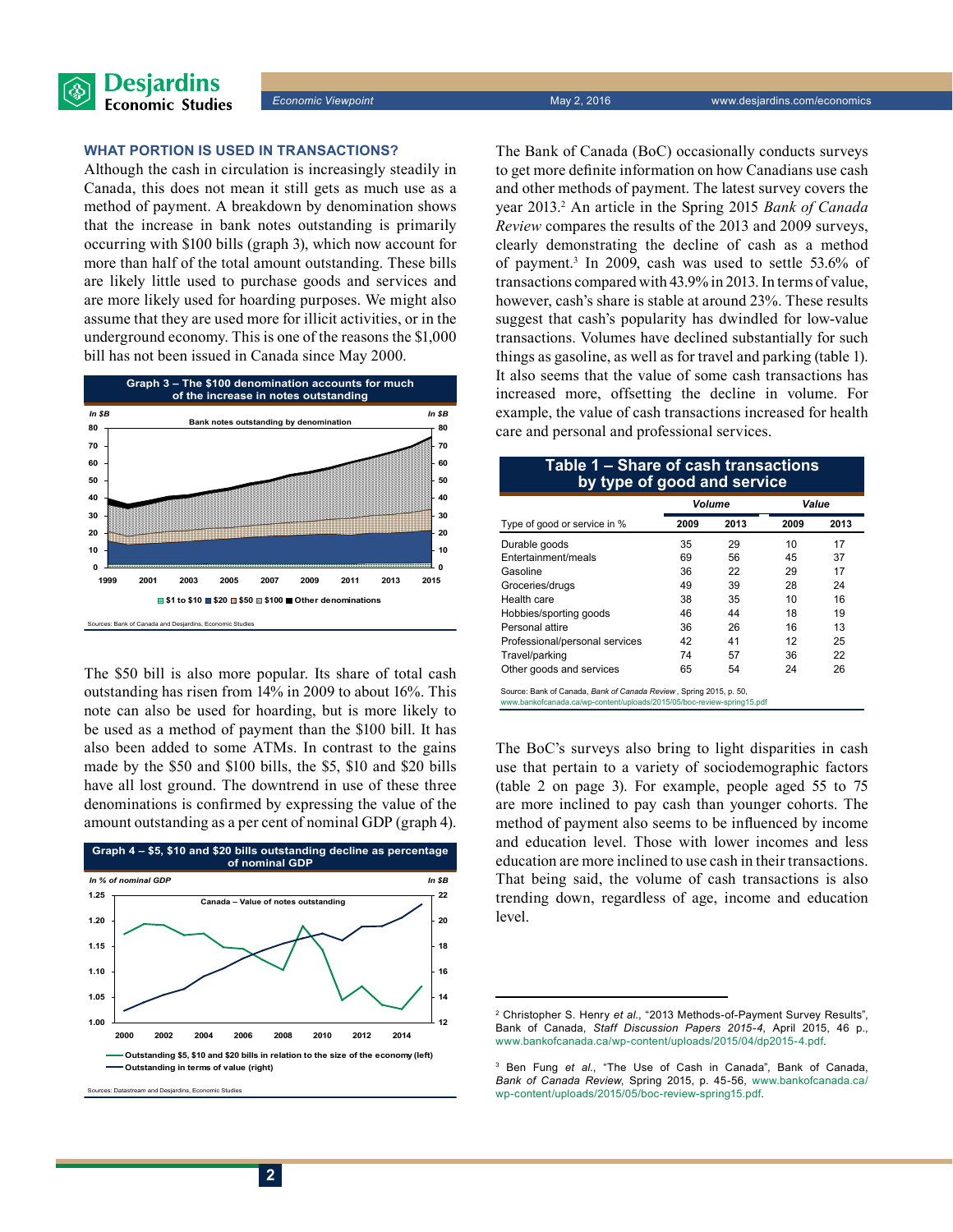

#### **What portion is used in transactions?**

Although the cash in circulation is increasingly steadily in Canada, this does not mean it still gets as much use as a method of payment. A breakdown by denomination shows that the increase in bank notes outstanding is primarily occurring with \$100 bills (graph 3), which now account for more than half of the total amount outstanding. These bills are likely little used to purchase goods and services and are more likely used for hoarding purposes. We might also assume that they are used more for illicit activities, or in the underground economy. This is one of the reasons the \$1,000 bill has not been issued in Canada since May 2000.



The \$50 bill is also more popular. Its share of total cash outstanding has risen from 14% in 2009 to about 16%. This note can also be used for hoarding, but is more likely to be used as a method of payment than the \$100 bill. It has also been added to some ATMs. In contrast to the gains made by the \$50 and \$100 bills, the \$5, \$10 and \$20 bills have all lost ground. The downtrend in use of these three denominations is confirmed by expressing the value of the amount outstanding as a per cent of nominal GDP (graph 4).



ses: Datastream and Desiardins, Economic Studies

The Bank of Canada (BoC) occasionally conducts surveys to get more definite information on how Canadians use cash and other methods of payment. The latest survey covers the year 2013.<sup>2</sup> An article in the Spring 2015 *Bank of Canada Review* compares the results of the 2013 and 2009 surveys, clearly demonstrating the decline of cash as a method of payment.3 In 2009, cash was used to settle 53.6% of transactions compared with 43.9% in 2013. In terms of value, however, cash's share is stable at around 23%. These results suggest that cash's popularity has dwindled for low-value transactions. Volumes have declined substantially for such things as gasoline, as well as for travel and parking (table 1). It also seems that the value of some cash transactions has increased more, offsetting the decline in volume. For example, the value of cash transactions increased for health care and personal and professional services.

#### **Table 1 – share of cash transactions by type of good and service**

|                                                                    | <b>Volume</b> |      | Value |      |  |  |
|--------------------------------------------------------------------|---------------|------|-------|------|--|--|
| Type of good or service in %                                       | 2009          | 2013 | 2009  | 2013 |  |  |
| Durable goods                                                      | 35            | 29   | 10    | 17   |  |  |
| Entertainment/meals                                                | 69            | 56   | 45    | 37   |  |  |
| Gasoline                                                           | 36            | 22   | 29    | 17   |  |  |
| Groceries/drugs                                                    | 49            | 39   | 28    | 24   |  |  |
| Health care                                                        | 38            | 35   | 10    | 16   |  |  |
| Hobbies/sporting goods                                             | 46            | 44   | 18    | 19   |  |  |
| Personal attire                                                    | 36            | 26   | 16    | 13   |  |  |
| Professional/personal services                                     | 42            | 41   | 12    | 25   |  |  |
| Travel/parking                                                     | 74            | 57   | 36    | 22   |  |  |
| Other goods and services                                           | 65            | 54   | 24    | 26   |  |  |
| Source: Bank of Canada, Bank of Canada Review, Spring 2015, p. 50. |               |      |       |      |  |  |

Source: Bank of Canada, *Bank of Canada Review* , Spring 2015, p. 50, www.bankofcanada.ca/wp-content/uploads/2015/05/boc-review-spring15.pdf

The BoC's surveys also bring to light disparities in cash use that pertain to a variety of sociodemographic factors (table 2 on page 3). For example, people aged 55 to 75 are more inclined to pay cash than younger cohorts. The method of payment also seems to be influenced by income and education level. Those with lower incomes and less education are more inclined to use cash in their transactions. That being said, the volume of cash transactions is also trending down, regardless of age, income and education level.

<sup>2</sup> Christopher S. Henry *et al.*, "2013 Methods-of-Payment Survey Results", Bank of Canada, *Staff Discussion Papers 2015‑4*, April 2015, 46 p., [www.bankofcanada.ca/wp-content/uploads/2015/04/dp2015-4.pdf](http://www.bankofcanada.ca/wp-content/uploads/2015/04/dp2015-4.pdf).

<sup>3</sup> Ben Fung *et al.*, "The Use of Cash in Canada", Bank of Canada, *Bank of Canada Review*, Spring 2015, p. 45-56, [www.bankofcanada.ca/](http://www.bankofcanada.ca/wp-content/uploads/2015/05/boc-review-spring15.pdf) [wp-content/uploads/2015/05/boc-review-spring15.pdf](http://www.bankofcanada.ca/wp-content/uploads/2015/05/boc-review-spring15.pdf).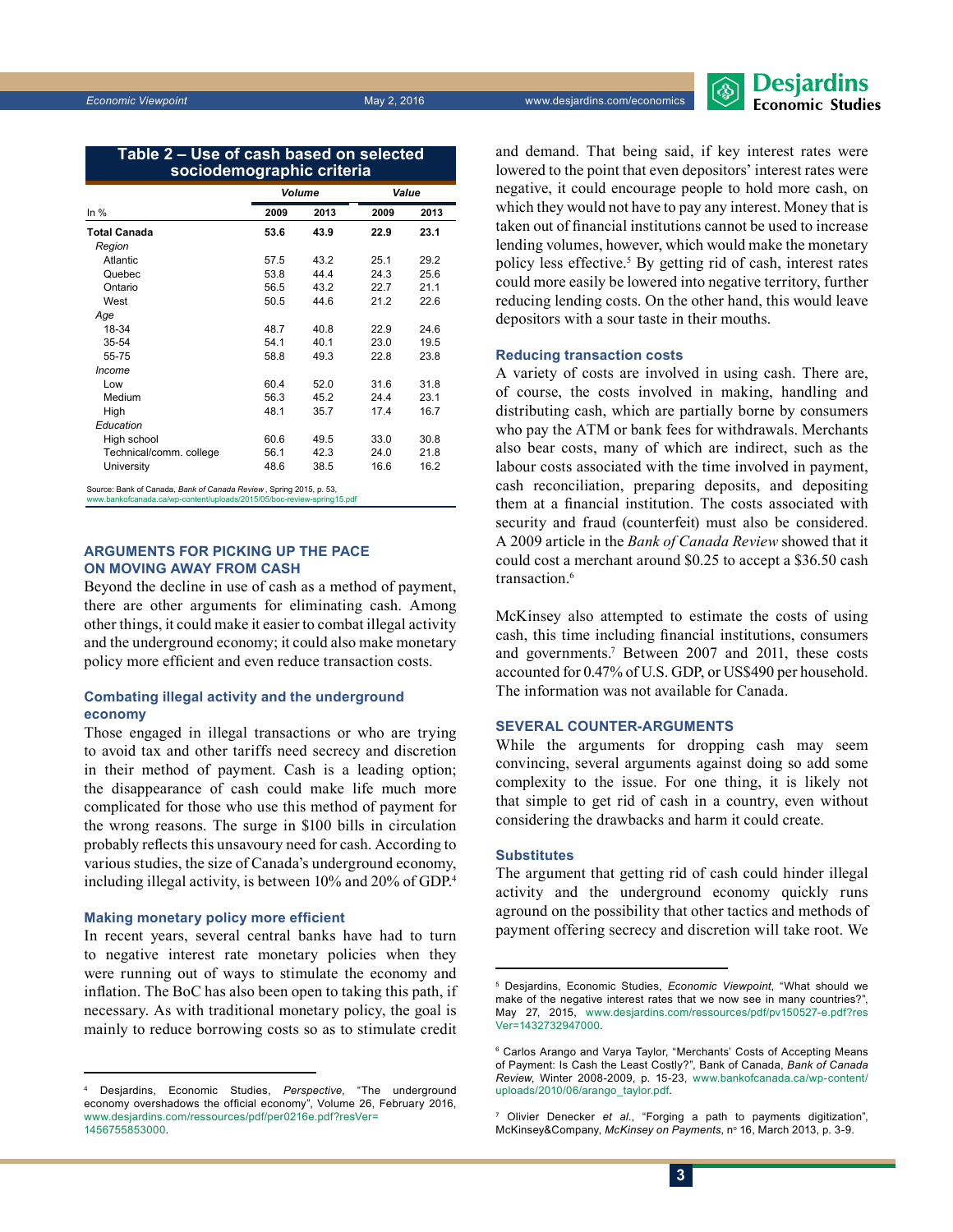| Table 2 – Use of cash based on selected |  |  |  |  |
|-----------------------------------------|--|--|--|--|
| sociodemographic criteria               |  |  |  |  |

|                         | Volume |      | Value |      |
|-------------------------|--------|------|-------|------|
| In $%$                  | 2009   | 2013 | 2009  | 2013 |
| <b>Total Canada</b>     | 53.6   | 43.9 | 22.9  | 23.1 |
| Region                  |        |      |       |      |
| Atlantic                | 57.5   | 43.2 | 25.1  | 29.2 |
| Quebec                  | 53.8   | 44.4 | 24.3  | 25.6 |
| Ontario                 | 56.5   | 43.2 | 22.7  | 21.1 |
| West                    | 50.5   | 44.6 | 21.2  | 22.6 |
| Age                     |        |      |       |      |
| 18-34                   | 48.7   | 40.8 | 22.9  | 24.6 |
| 35-54                   | 54.1   | 40.1 | 23.0  | 19.5 |
| 55-75                   | 58.8   | 49.3 | 22.8  | 23.8 |
| Income                  |        |      |       |      |
| Low                     | 60.4   | 52.0 | 31.6  | 31.8 |
| Medium                  | 56.3   | 45.2 | 24.4  | 23.1 |
| High                    | 48.1   | 35.7 | 17.4  | 16.7 |
| Education               |        |      |       |      |
| High school             | 60.6   | 49.5 | 33.0  | 30.8 |
| Technical/comm. college | 56.1   | 42.3 | 24.0  | 21.8 |
| University              | 48.6   | 38.5 | 16.6  | 16.2 |

Source: Bank of Canada, *Bank of Canada Review* , Spring 2015, p. 53, www.bankofcanada.ca/wp-content/uploads/2015/05/boc-review-spring15.pdf

#### **Arguments for picking up the pace on moving away from cash**

Beyond the decline in use of cash as a method of payment, there are other arguments for eliminating cash. Among other things, it could make it easier to combat illegal activity and the underground economy; it could also make monetary policy more efficient and even reduce transaction costs.

#### **Combating illegal activity and the underground economy**

Those engaged in illegal transactions or who are trying to avoid tax and other tariffs need secrecy and discretion in their method of payment. Cash is a leading option; the disappearance of cash could make life much more complicated for those who use this method of payment for the wrong reasons. The surge in \$100 bills in circulation probably reflects this unsavoury need for cash. According to various studies, the size of Canada's underground economy, including illegal activity, is between 10% and 20% of GDP.4

#### **Making monetary policy more efficient**

In recent years, several central banks have had to turn to negative interest rate monetary policies when they were running out of ways to stimulate the economy and inflation. The BoC has also been open to taking this path, if necessary. As with traditional monetary policy, the goal is mainly to reduce borrowing costs so as to stimulate credit

and demand. That being said, if key interest rates were lowered to the point that even depositors' interest rates were negative, it could encourage people to hold more cash, on which they would not have to pay any interest. Money that is taken out of financial institutions cannot be used to increase lending volumes, however, which would make the monetary policy less effective.5 By getting rid of cash, interest rates could more easily be lowered into negative territory, further reducing lending costs. On the other hand, this would leave depositors with a sour taste in their mouths.

#### **Reducing transaction costs**

A variety of costs are involved in using cash. There are, of course, the costs involved in making, handling and distributing cash, which are partially borne by consumers who pay the ATM or bank fees for withdrawals. Merchants also bear costs, many of which are indirect, such as the labour costs associated with the time involved in payment, cash reconciliation, preparing deposits, and depositing them at a financial institution. The costs associated with security and fraud (counterfeit) must also be considered. A 2009 article in the *Bank of Canada Review* showed that it could cost a merchant around \$0.25 to accept a \$36.50 cash transaction.<sup>6</sup>

McKinsey also attempted to estimate the costs of using cash, this time including financial institutions, consumers and governments.<sup>7</sup> Between 2007 and 2011, these costs accounted for 0.47% of U.S. GDP, or US\$490 per household. The information was not available for Canada.

#### **Several counter-arguments**

While the arguments for dropping cash may seem convincing, several arguments against doing so add some complexity to the issue. For one thing, it is likely not that simple to get rid of cash in a country, even without considering the drawbacks and harm it could create.

#### **Substitutes**

The argument that getting rid of cash could hinder illegal activity and the underground economy quickly runs aground on the possibility that other tactics and methods of payment offering secrecy and discretion will take root. We

<sup>4</sup> Desjardins, Economic Studies, *Perspective*, "The underground economy overshadows the official economy", Volume 26, February 2016, [www.desjardins.com/ressources/pdf/per0216e.pdf?resVer=](http://www.desjardins.com/ressources/pdf/per0216e.pdf?resVer=1456755853000)  [1456755853000](http://www.desjardins.com/ressources/pdf/per0216e.pdf?resVer=1456755853000).

<sup>5</sup> Desjardins, Economic Studies, *Economic Viewpoint*, "What should we make of the negative interest rates that we now see in many countries?", May 27, 2015, [www.desjardins.com/ressources/pdf/pv150527-e.pdf?res](http://www.desjardins.com/ressources/pdf/pv150527-e.pdf?resVer=1432732947000)  [Ver=1432732947000](http://www.desjardins.com/ressources/pdf/pv150527-e.pdf?resVer=1432732947000).

<sup>6</sup> Carlos Arango and Varya Taylor, "Merchants' Costs of Accepting Means of Payment: Is Cash the Least Costly?", Bank of Canada, *Bank of Canada Review*, Winter 2008-2009, p. 15-23, [www.bankofcanada.ca/wp-content/](http://www.bankofcanada.ca/wp-content/uploads/2010/06/arango_taylor.pdf) [uploads/2010/06/arango\\_taylor.pdf.](http://www.bankofcanada.ca/wp-content/uploads/2010/06/arango_taylor.pdf)

<sup>7</sup> Olivier Denecker *et al.*, "Forging a path to payments digitization", McKinsey&Company, McKinsey on Payments, nº 16, March 2013, p. 3-9.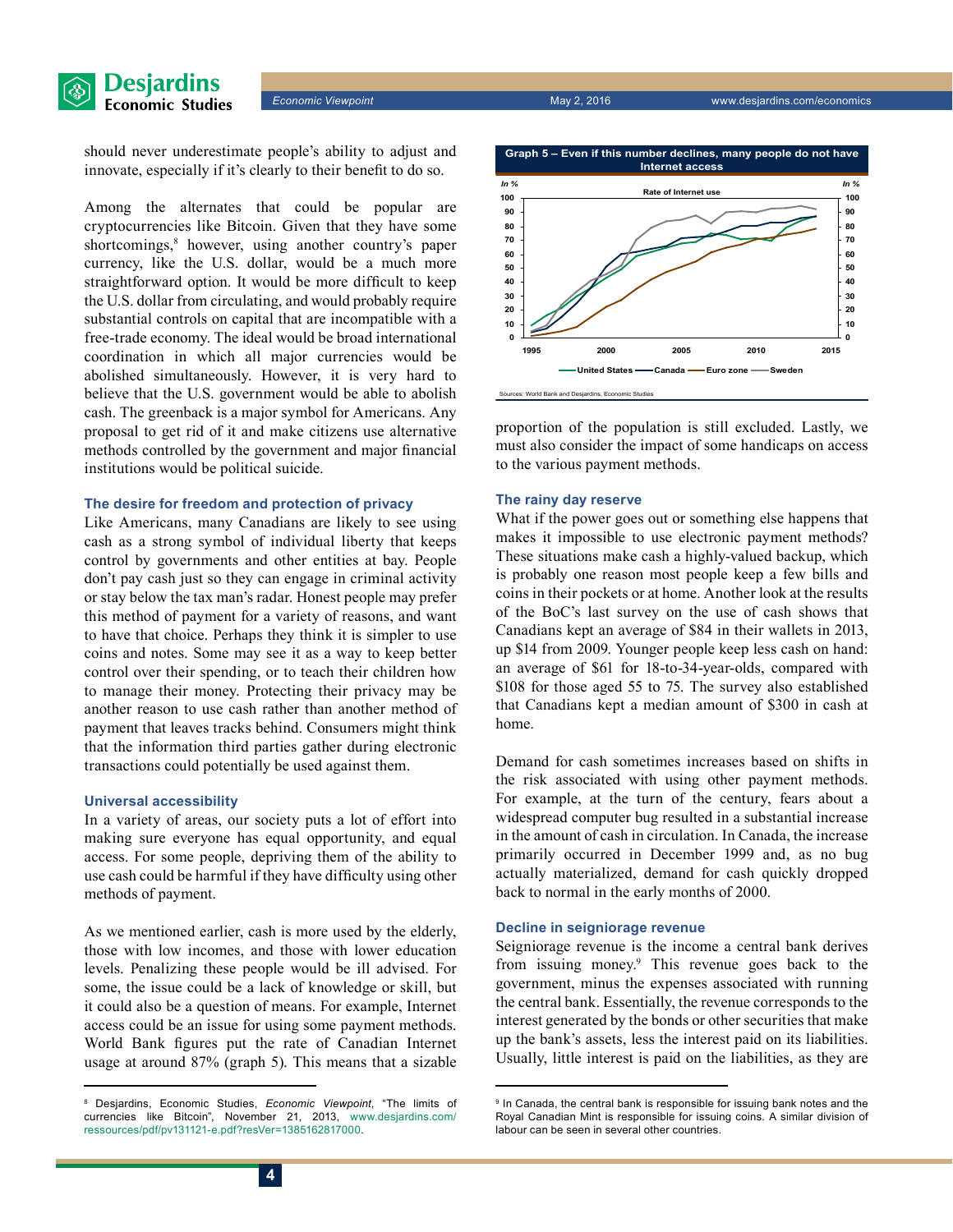



should never underestimate people's ability to adjust and innovate, especially if it's clearly to their benefit to do so.

Among the alternates that could be popular are cryptocurrencies like Bitcoin. Given that they have some shortcomings,<sup>8</sup> however, using another country's paper currency, like the U.S. dollar, would be a much more straightforward option. It would be more difficult to keep the U.S. dollar from circulating, and would probably require substantial controls on capital that are incompatible with a free-trade economy. The ideal would be broad international coordination in which all major currencies would be abolished simultaneously. However, it is very hard to believe that the U.S. government would be able to abolish cash. The greenback is a major symbol for Americans. Any proposal to get rid of it and make citizens use alternative methods controlled by the government and major financial institutions would be political suicide.

#### **The desire for freedom and protection of privacy**

Like Americans, many Canadians are likely to see using cash as a strong symbol of individual liberty that keeps control by governments and other entities at bay. People don't pay cash just so they can engage in criminal activity or stay below the tax man's radar. Honest people may prefer this method of payment for a variety of reasons, and want to have that choice. Perhaps they think it is simpler to use coins and notes. Some may see it as a way to keep better control over their spending, or to teach their children how to manage their money. Protecting their privacy may be another reason to use cash rather than another method of payment that leaves tracks behind. Consumers might think that the information third parties gather during electronic transactions could potentially be used against them.

#### **Universal accessibility**

In a variety of areas, our society puts a lot of effort into making sure everyone has equal opportunity, and equal access. For some people, depriving them of the ability to use cash could be harmful if they have difficulty using other methods of payment.

As we mentioned earlier, cash is more used by the elderly, those with low incomes, and those with lower education levels. Penalizing these people would be ill advised. For some, the issue could be a lack of knowledge or skill, but it could also be a question of means. For example, Internet access could be an issue for using some payment methods. World Bank figures put the rate of Canadian Internet usage at around 87% (graph 5). This means that a sizable



proportion of the population is still excluded. Lastly, we must also consider the impact of some handicaps on access to the various payment methods.

#### **The rainy day reserve**

What if the power goes out or something else happens that makes it impossible to use electronic payment methods? These situations make cash a highly-valued backup, which is probably one reason most people keep a few bills and coins in their pockets or at home. Another look at the results of the BoC's last survey on the use of cash shows that Canadians kept an average of \$84 in their wallets in 2013, up \$14 from 2009. Younger people keep less cash on hand: an average of \$61 for 18-to-34-year-olds, compared with \$108 for those aged 55 to 75. The survey also established that Canadians kept a median amount of \$300 in cash at home.

Demand for cash sometimes increases based on shifts in the risk associated with using other payment methods. For example, at the turn of the century, fears about a widespread computer bug resulted in a substantial increase in the amount of cash in circulation. In Canada, the increase primarily occurred in December 1999 and, as no bug actually materialized, demand for cash quickly dropped back to normal in the early months of 2000.

#### **Decline in seigniorage revenue**

Seigniorage revenue is the income a central bank derives from issuing money.9 This revenue goes back to the government, minus the expenses associated with running the central bank. Essentially, the revenue corresponds to the interest generated by the bonds or other securities that make up the bank's assets, less the interest paid on its liabilities. Usually, little interest is paid on the liabilities, as they are

<sup>8</sup> Desjardins, Economic Studies, *Economic Viewpoint*, "The limits of currencies like Bitcoin", November 21, 2013, [www.desjardins.com/](http://www.desjardins.com/ressources/pdf/pv131121-e.pdf?resVer=1385162817000) [ressources/pdf/pv131121-e.pdf?resVer=1385162817000](http://www.desjardins.com/ressources/pdf/pv131121-e.pdf?resVer=1385162817000).

<sup>9</sup> In Canada, the central bank is responsible for issuing bank notes and the Royal Canadian Mint is responsible for issuing coins. A similar division of labour can be seen in several other countries.